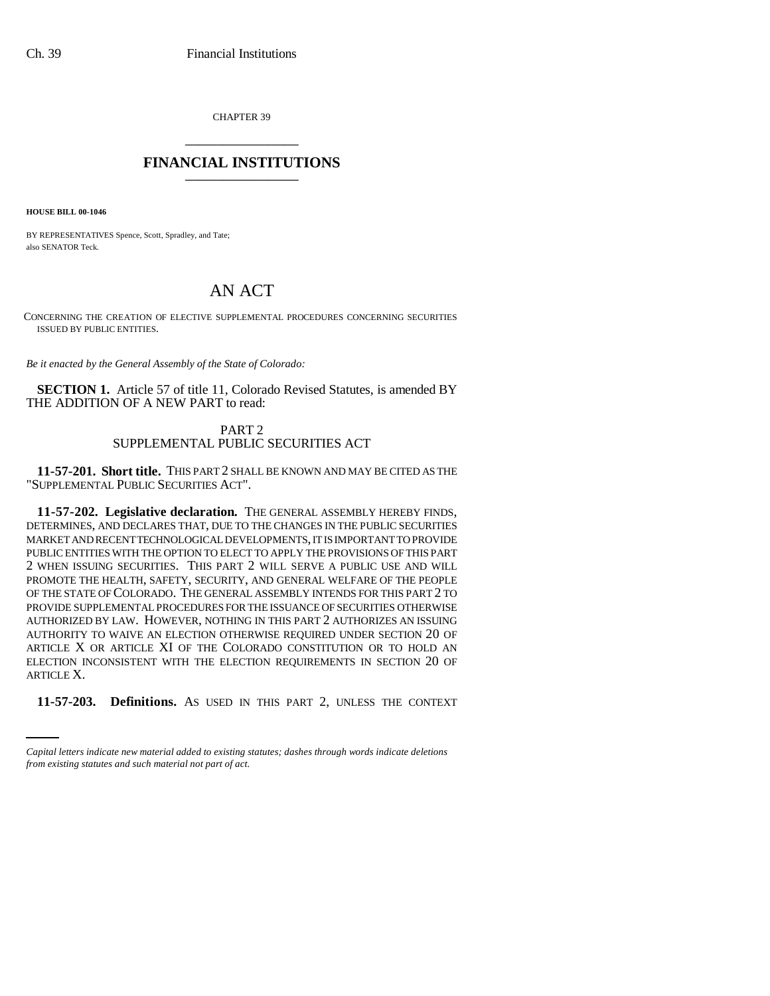CHAPTER 39 \_\_\_\_\_\_\_\_\_\_\_\_\_\_\_

# **FINANCIAL INSTITUTIONS** \_\_\_\_\_\_\_\_\_\_\_\_\_\_\_

**HOUSE BILL 00-1046** 

BY REPRESENTATIVES Spence, Scott, Spradley, and Tate; also SENATOR Teck.

# AN ACT

CONCERNING THE CREATION OF ELECTIVE SUPPLEMENTAL PROCEDURES CONCERNING SECURITIES ISSUED BY PUBLIC ENTITIES.

*Be it enacted by the General Assembly of the State of Colorado:*

**SECTION 1.** Article 57 of title 11, Colorado Revised Statutes, is amended BY THE ADDITION OF A NEW PART to read:

## PART 2 SUPPLEMENTAL PUBLIC SECURITIES ACT

**11-57-201. Short title.** THIS PART 2 SHALL BE KNOWN AND MAY BE CITED AS THE "SUPPLEMENTAL PUBLIC SECURITIES ACT".

ARTICLE X. **11-57-202. Legislative declaration.** THE GENERAL ASSEMBLY HEREBY FINDS, DETERMINES, AND DECLARES THAT, DUE TO THE CHANGES IN THE PUBLIC SECURITIES MARKET AND RECENT TECHNOLOGICAL DEVELOPMENTS, IT IS IMPORTANT TO PROVIDE PUBLIC ENTITIES WITH THE OPTION TO ELECT TO APPLY THE PROVISIONS OF THIS PART 2 WHEN ISSUING SECURITIES. THIS PART 2 WILL SERVE A PUBLIC USE AND WILL PROMOTE THE HEALTH, SAFETY, SECURITY, AND GENERAL WELFARE OF THE PEOPLE OF THE STATE OF COLORADO. THE GENERAL ASSEMBLY INTENDS FOR THIS PART 2 TO PROVIDE SUPPLEMENTAL PROCEDURES FOR THE ISSUANCE OF SECURITIES OTHERWISE AUTHORIZED BY LAW. HOWEVER, NOTHING IN THIS PART 2 AUTHORIZES AN ISSUING AUTHORITY TO WAIVE AN ELECTION OTHERWISE REQUIRED UNDER SECTION 20 OF ARTICLE X OR ARTICLE XI OF THE COLORADO CONSTITUTION OR TO HOLD AN ELECTION INCONSISTENT WITH THE ELECTION REQUIREMENTS IN SECTION 20 OF

**11-57-203. Definitions.** AS USED IN THIS PART 2, UNLESS THE CONTEXT

*Capital letters indicate new material added to existing statutes; dashes through words indicate deletions from existing statutes and such material not part of act.*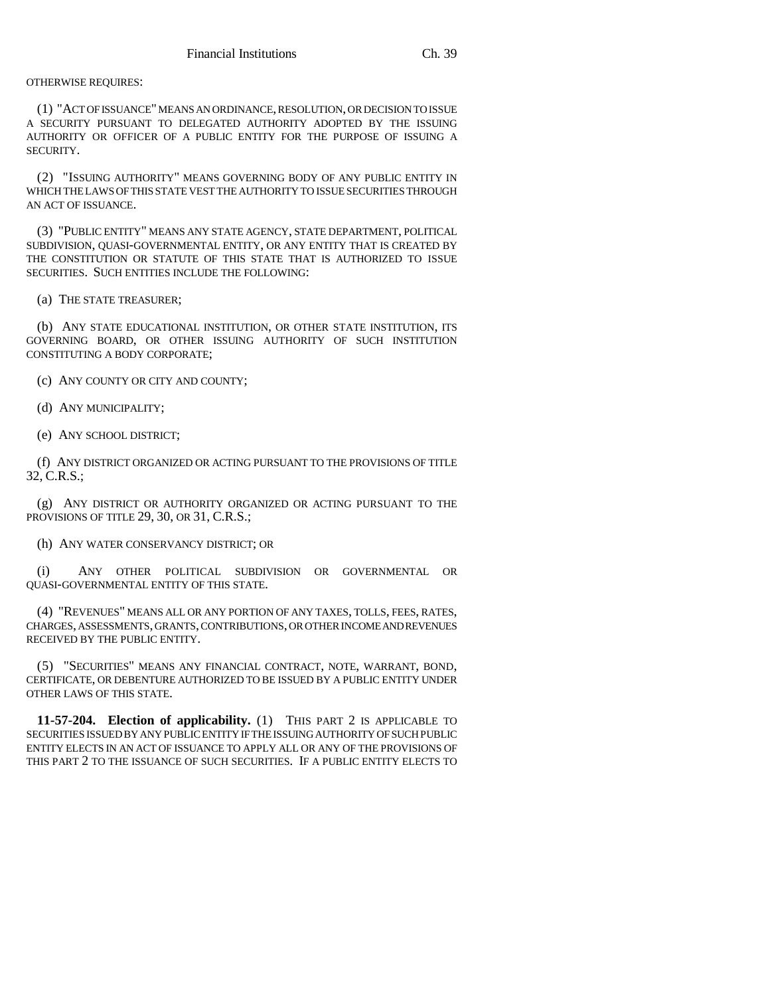#### OTHERWISE REQUIRES:

(1) "ACT OF ISSUANCE" MEANS AN ORDINANCE, RESOLUTION, OR DECISION TO ISSUE A SECURITY PURSUANT TO DELEGATED AUTHORITY ADOPTED BY THE ISSUING AUTHORITY OR OFFICER OF A PUBLIC ENTITY FOR THE PURPOSE OF ISSUING A SECURITY.

(2) "ISSUING AUTHORITY" MEANS GOVERNING BODY OF ANY PUBLIC ENTITY IN WHICH THE LAWS OF THIS STATE VEST THE AUTHORITY TO ISSUE SECURITIES THROUGH AN ACT OF ISSUANCE.

(3) "PUBLIC ENTITY" MEANS ANY STATE AGENCY, STATE DEPARTMENT, POLITICAL SUBDIVISION, QUASI-GOVERNMENTAL ENTITY, OR ANY ENTITY THAT IS CREATED BY THE CONSTITUTION OR STATUTE OF THIS STATE THAT IS AUTHORIZED TO ISSUE SECURITIES. SUCH ENTITIES INCLUDE THE FOLLOWING:

(a) THE STATE TREASURER;

(b) ANY STATE EDUCATIONAL INSTITUTION, OR OTHER STATE INSTITUTION, ITS GOVERNING BOARD, OR OTHER ISSUING AUTHORITY OF SUCH INSTITUTION CONSTITUTING A BODY CORPORATE;

(c) ANY COUNTY OR CITY AND COUNTY;

(d) ANY MUNICIPALITY;

(e) ANY SCHOOL DISTRICT;

(f) ANY DISTRICT ORGANIZED OR ACTING PURSUANT TO THE PROVISIONS OF TITLE 32, C.R.S.;

(g) ANY DISTRICT OR AUTHORITY ORGANIZED OR ACTING PURSUANT TO THE PROVISIONS OF TITLE 29, 30, OR 31, C.R.S.;

(h) ANY WATER CONSERVANCY DISTRICT; OR

(i) ANY OTHER POLITICAL SUBDIVISION OR GOVERNMENTAL OR QUASI-GOVERNMENTAL ENTITY OF THIS STATE.

(4) "REVENUES" MEANS ALL OR ANY PORTION OF ANY TAXES, TOLLS, FEES, RATES, CHARGES, ASSESSMENTS, GRANTS, CONTRIBUTIONS, OR OTHER INCOME AND REVENUES RECEIVED BY THE PUBLIC ENTITY.

(5) "SECURITIES" MEANS ANY FINANCIAL CONTRACT, NOTE, WARRANT, BOND, CERTIFICATE, OR DEBENTURE AUTHORIZED TO BE ISSUED BY A PUBLIC ENTITY UNDER OTHER LAWS OF THIS STATE.

**11-57-204. Election of applicability.** (1) THIS PART 2 IS APPLICABLE TO SECURITIES ISSUED BY ANY PUBLIC ENTITY IF THE ISSUING AUTHORITY OF SUCH PUBLIC ENTITY ELECTS IN AN ACT OF ISSUANCE TO APPLY ALL OR ANY OF THE PROVISIONS OF THIS PART 2 TO THE ISSUANCE OF SUCH SECURITIES. IF A PUBLIC ENTITY ELECTS TO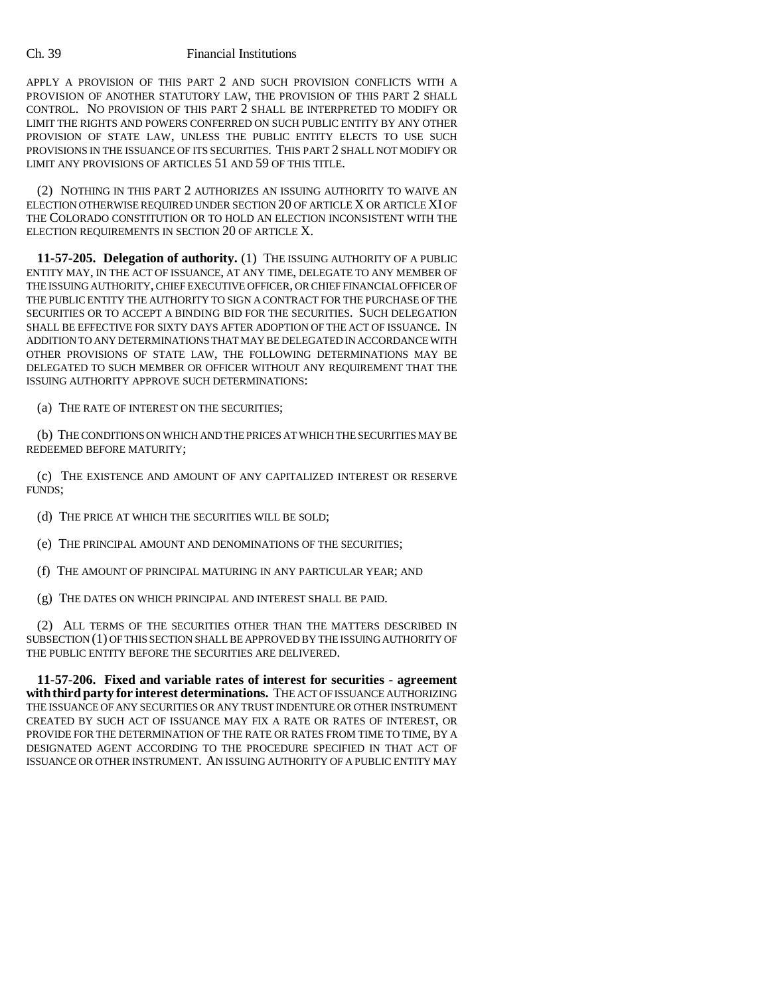#### Ch. 39 Financial Institutions

APPLY A PROVISION OF THIS PART 2 AND SUCH PROVISION CONFLICTS WITH A PROVISION OF ANOTHER STATUTORY LAW, THE PROVISION OF THIS PART 2 SHALL CONTROL. NO PROVISION OF THIS PART 2 SHALL BE INTERPRETED TO MODIFY OR LIMIT THE RIGHTS AND POWERS CONFERRED ON SUCH PUBLIC ENTITY BY ANY OTHER PROVISION OF STATE LAW, UNLESS THE PUBLIC ENTITY ELECTS TO USE SUCH PROVISIONS IN THE ISSUANCE OF ITS SECURITIES. THIS PART 2 SHALL NOT MODIFY OR LIMIT ANY PROVISIONS OF ARTICLES 51 AND 59 OF THIS TITLE.

(2) NOTHING IN THIS PART 2 AUTHORIZES AN ISSUING AUTHORITY TO WAIVE AN ELECTION OTHERWISE REQUIRED UNDER SECTION 20 OF ARTICLE X OR ARTICLE XI OF THE COLORADO CONSTITUTION OR TO HOLD AN ELECTION INCONSISTENT WITH THE ELECTION REQUIREMENTS IN SECTION 20 OF ARTICLE X.

**11-57-205. Delegation of authority.** (1) THE ISSUING AUTHORITY OF A PUBLIC ENTITY MAY, IN THE ACT OF ISSUANCE, AT ANY TIME, DELEGATE TO ANY MEMBER OF THE ISSUING AUTHORITY, CHIEF EXECUTIVE OFFICER, OR CHIEF FINANCIAL OFFICER OF THE PUBLIC ENTITY THE AUTHORITY TO SIGN A CONTRACT FOR THE PURCHASE OF THE SECURITIES OR TO ACCEPT A BINDING BID FOR THE SECURITIES. SUCH DELEGATION SHALL BE EFFECTIVE FOR SIXTY DAYS AFTER ADOPTION OF THE ACT OF ISSUANCE. IN ADDITION TO ANY DETERMINATIONS THAT MAY BE DELEGATED IN ACCORDANCE WITH OTHER PROVISIONS OF STATE LAW, THE FOLLOWING DETERMINATIONS MAY BE DELEGATED TO SUCH MEMBER OR OFFICER WITHOUT ANY REQUIREMENT THAT THE ISSUING AUTHORITY APPROVE SUCH DETERMINATIONS:

(a) THE RATE OF INTEREST ON THE SECURITIES;

(b) THE CONDITIONS ON WHICH AND THE PRICES AT WHICH THE SECURITIES MAY BE REDEEMED BEFORE MATURITY;

(c) THE EXISTENCE AND AMOUNT OF ANY CAPITALIZED INTEREST OR RESERVE FUNDS;

(d) THE PRICE AT WHICH THE SECURITIES WILL BE SOLD;

(e) THE PRINCIPAL AMOUNT AND DENOMINATIONS OF THE SECURITIES;

(f) THE AMOUNT OF PRINCIPAL MATURING IN ANY PARTICULAR YEAR; AND

(g) THE DATES ON WHICH PRINCIPAL AND INTEREST SHALL BE PAID.

(2) ALL TERMS OF THE SECURITIES OTHER THAN THE MATTERS DESCRIBED IN SUBSECTION (1) OF THIS SECTION SHALL BE APPROVED BY THE ISSUING AUTHORITY OF THE PUBLIC ENTITY BEFORE THE SECURITIES ARE DELIVERED.

**11-57-206. Fixed and variable rates of interest for securities - agreement with third party for interest determinations.** THE ACT OF ISSUANCE AUTHORIZING THE ISSUANCE OF ANY SECURITIES OR ANY TRUST INDENTURE OR OTHER INSTRUMENT CREATED BY SUCH ACT OF ISSUANCE MAY FIX A RATE OR RATES OF INTEREST, OR PROVIDE FOR THE DETERMINATION OF THE RATE OR RATES FROM TIME TO TIME, BY A DESIGNATED AGENT ACCORDING TO THE PROCEDURE SPECIFIED IN THAT ACT OF ISSUANCE OR OTHER INSTRUMENT. AN ISSUING AUTHORITY OF A PUBLIC ENTITY MAY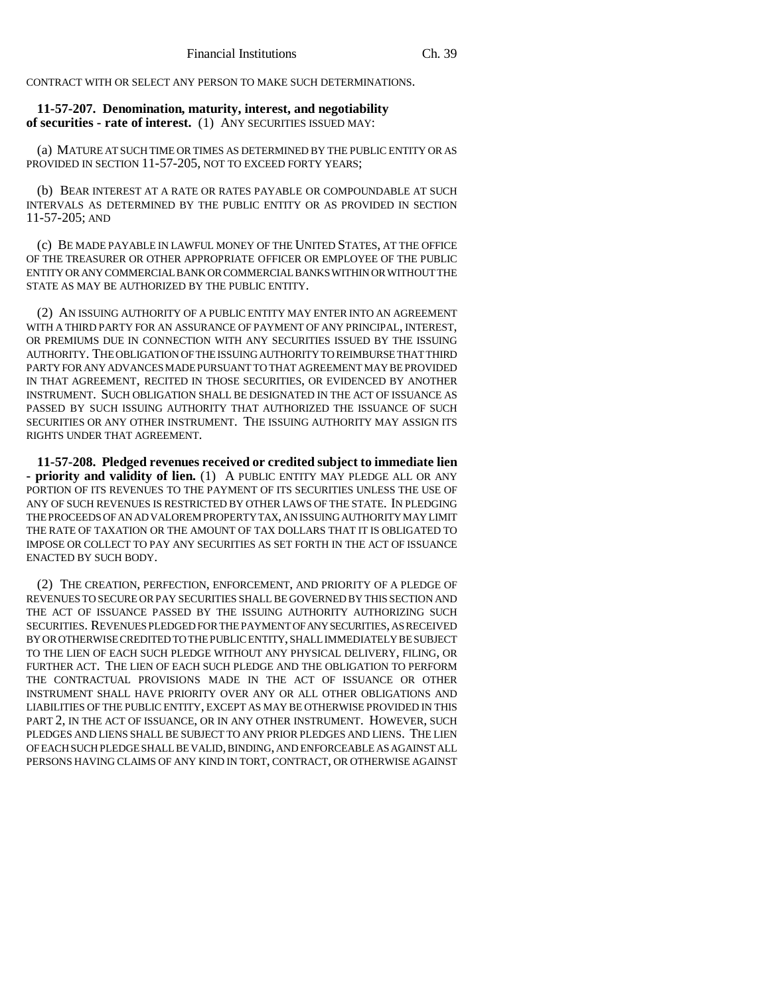CONTRACT WITH OR SELECT ANY PERSON TO MAKE SUCH DETERMINATIONS.

**11-57-207. Denomination, maturity, interest, and negotiability of securities - rate of interest.** (1) ANY SECURITIES ISSUED MAY:

(a) MATURE AT SUCH TIME OR TIMES AS DETERMINED BY THE PUBLIC ENTITY OR AS PROVIDED IN SECTION 11-57-205, NOT TO EXCEED FORTY YEARS;

(b) BEAR INTEREST AT A RATE OR RATES PAYABLE OR COMPOUNDABLE AT SUCH INTERVALS AS DETERMINED BY THE PUBLIC ENTITY OR AS PROVIDED IN SECTION 11-57-205; AND

(c) BE MADE PAYABLE IN LAWFUL MONEY OF THE UNITED STATES, AT THE OFFICE OF THE TREASURER OR OTHER APPROPRIATE OFFICER OR EMPLOYEE OF THE PUBLIC ENTITY OR ANY COMMERCIAL BANK OR COMMERCIAL BANKS WITHIN OR WITHOUT THE STATE AS MAY BE AUTHORIZED BY THE PUBLIC ENTITY.

(2) AN ISSUING AUTHORITY OF A PUBLIC ENTITY MAY ENTER INTO AN AGREEMENT WITH A THIRD PARTY FOR AN ASSURANCE OF PAYMENT OF ANY PRINCIPAL, INTEREST, OR PREMIUMS DUE IN CONNECTION WITH ANY SECURITIES ISSUED BY THE ISSUING AUTHORITY. THE OBLIGATION OF THE ISSUING AUTHORITY TO REIMBURSE THAT THIRD PARTY FOR ANY ADVANCES MADE PURSUANT TO THAT AGREEMENT MAY BE PROVIDED IN THAT AGREEMENT, RECITED IN THOSE SECURITIES, OR EVIDENCED BY ANOTHER INSTRUMENT. SUCH OBLIGATION SHALL BE DESIGNATED IN THE ACT OF ISSUANCE AS PASSED BY SUCH ISSUING AUTHORITY THAT AUTHORIZED THE ISSUANCE OF SUCH SECURITIES OR ANY OTHER INSTRUMENT. THE ISSUING AUTHORITY MAY ASSIGN ITS RIGHTS UNDER THAT AGREEMENT.

**11-57-208. Pledged revenues received or credited subject to immediate lien - priority and validity of lien.** (1) A PUBLIC ENTITY MAY PLEDGE ALL OR ANY PORTION OF ITS REVENUES TO THE PAYMENT OF ITS SECURITIES UNLESS THE USE OF ANY OF SUCH REVENUES IS RESTRICTED BY OTHER LAWS OF THE STATE. IN PLEDGING THE PROCEEDS OF AN AD VALOREM PROPERTY TAX, AN ISSUING AUTHORITY MAY LIMIT THE RATE OF TAXATION OR THE AMOUNT OF TAX DOLLARS THAT IT IS OBLIGATED TO IMPOSE OR COLLECT TO PAY ANY SECURITIES AS SET FORTH IN THE ACT OF ISSUANCE ENACTED BY SUCH BODY.

(2) THE CREATION, PERFECTION, ENFORCEMENT, AND PRIORITY OF A PLEDGE OF REVENUES TO SECURE OR PAY SECURITIES SHALL BE GOVERNED BY THIS SECTION AND THE ACT OF ISSUANCE PASSED BY THE ISSUING AUTHORITY AUTHORIZING SUCH SECURITIES. REVENUES PLEDGED FOR THE PAYMENT OF ANY SECURITIES, AS RECEIVED BY OR OTHERWISE CREDITED TO THE PUBLIC ENTITY, SHALL IMMEDIATELY BE SUBJECT TO THE LIEN OF EACH SUCH PLEDGE WITHOUT ANY PHYSICAL DELIVERY, FILING, OR FURTHER ACT. THE LIEN OF EACH SUCH PLEDGE AND THE OBLIGATION TO PERFORM THE CONTRACTUAL PROVISIONS MADE IN THE ACT OF ISSUANCE OR OTHER INSTRUMENT SHALL HAVE PRIORITY OVER ANY OR ALL OTHER OBLIGATIONS AND LIABILITIES OF THE PUBLIC ENTITY, EXCEPT AS MAY BE OTHERWISE PROVIDED IN THIS PART 2, IN THE ACT OF ISSUANCE, OR IN ANY OTHER INSTRUMENT. HOWEVER, SUCH PLEDGES AND LIENS SHALL BE SUBJECT TO ANY PRIOR PLEDGES AND LIENS. THE LIEN OF EACH SUCH PLEDGE SHALL BE VALID, BINDING, AND ENFORCEABLE AS AGAINST ALL PERSONS HAVING CLAIMS OF ANY KIND IN TORT, CONTRACT, OR OTHERWISE AGAINST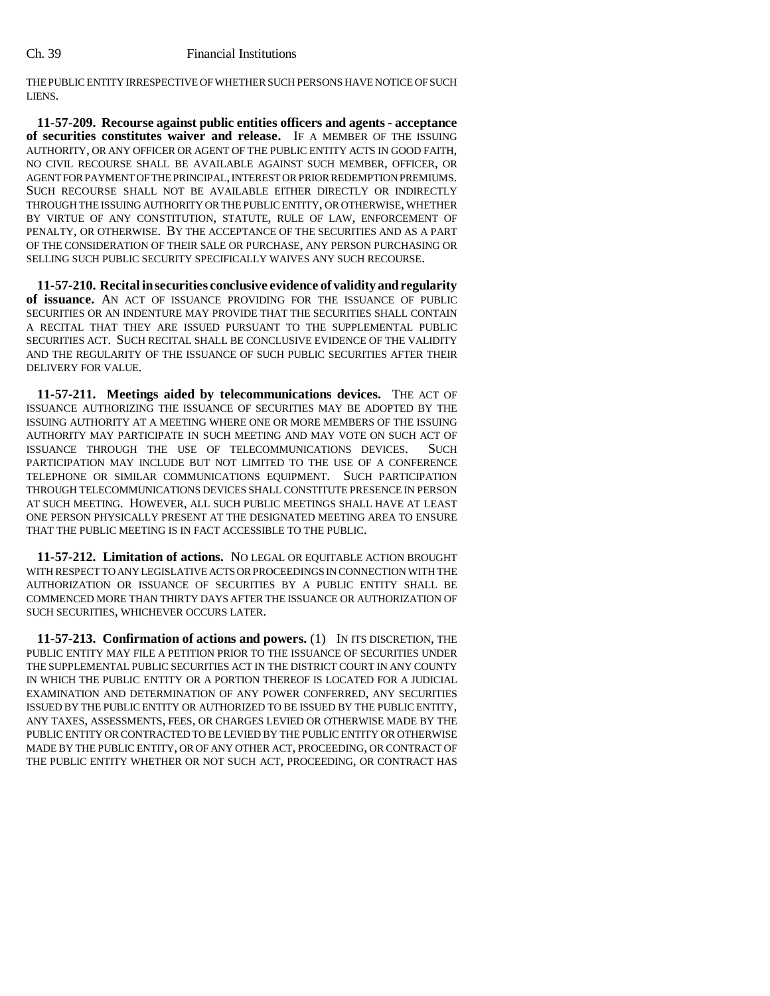THE PUBLIC ENTITY IRRESPECTIVE OF WHETHER SUCH PERSONS HAVE NOTICE OF SUCH LIENS.

**11-57-209. Recourse against public entities officers and agents - acceptance of securities constitutes waiver and release.** IF A MEMBER OF THE ISSUING AUTHORITY, OR ANY OFFICER OR AGENT OF THE PUBLIC ENTITY ACTS IN GOOD FAITH, NO CIVIL RECOURSE SHALL BE AVAILABLE AGAINST SUCH MEMBER, OFFICER, OR AGENT FOR PAYMENT OF THE PRINCIPAL, INTEREST OR PRIOR REDEMPTION PREMIUMS. SUCH RECOURSE SHALL NOT BE AVAILABLE EITHER DIRECTLY OR INDIRECTLY THROUGH THE ISSUING AUTHORITY OR THE PUBLIC ENTITY, OR OTHERWISE, WHETHER BY VIRTUE OF ANY CONSTITUTION, STATUTE, RULE OF LAW, ENFORCEMENT OF PENALTY, OR OTHERWISE. BY THE ACCEPTANCE OF THE SECURITIES AND AS A PART OF THE CONSIDERATION OF THEIR SALE OR PURCHASE, ANY PERSON PURCHASING OR SELLING SUCH PUBLIC SECURITY SPECIFICALLY WAIVES ANY SUCH RECOURSE.

**11-57-210. Recital in securities conclusive evidence of validity and regularity of issuance.** AN ACT OF ISSUANCE PROVIDING FOR THE ISSUANCE OF PUBLIC SECURITIES OR AN INDENTURE MAY PROVIDE THAT THE SECURITIES SHALL CONTAIN A RECITAL THAT THEY ARE ISSUED PURSUANT TO THE SUPPLEMENTAL PUBLIC SECURITIES ACT. SUCH RECITAL SHALL BE CONCLUSIVE EVIDENCE OF THE VALIDITY AND THE REGULARITY OF THE ISSUANCE OF SUCH PUBLIC SECURITIES AFTER THEIR DELIVERY FOR VALUE.

**11-57-211. Meetings aided by telecommunications devices.** THE ACT OF ISSUANCE AUTHORIZING THE ISSUANCE OF SECURITIES MAY BE ADOPTED BY THE ISSUING AUTHORITY AT A MEETING WHERE ONE OR MORE MEMBERS OF THE ISSUING AUTHORITY MAY PARTICIPATE IN SUCH MEETING AND MAY VOTE ON SUCH ACT OF ISSUANCE THROUGH THE USE OF TELECOMMUNICATIONS DEVICES. SUCH PARTICIPATION MAY INCLUDE BUT NOT LIMITED TO THE USE OF A CONFERENCE TELEPHONE OR SIMILAR COMMUNICATIONS EQUIPMENT. SUCH PARTICIPATION THROUGH TELECOMMUNICATIONS DEVICES SHALL CONSTITUTE PRESENCE IN PERSON AT SUCH MEETING. HOWEVER, ALL SUCH PUBLIC MEETINGS SHALL HAVE AT LEAST ONE PERSON PHYSICALLY PRESENT AT THE DESIGNATED MEETING AREA TO ENSURE THAT THE PUBLIC MEETING IS IN FACT ACCESSIBLE TO THE PUBLIC.

**11-57-212. Limitation of actions.** NO LEGAL OR EQUITABLE ACTION BROUGHT WITH RESPECT TO ANY LEGISLATIVE ACTS OR PROCEEDINGS IN CONNECTION WITH THE AUTHORIZATION OR ISSUANCE OF SECURITIES BY A PUBLIC ENTITY SHALL BE COMMENCED MORE THAN THIRTY DAYS AFTER THE ISSUANCE OR AUTHORIZATION OF SUCH SECURITIES, WHICHEVER OCCURS LATER.

**11-57-213. Confirmation of actions and powers.** (1) IN ITS DISCRETION, THE PUBLIC ENTITY MAY FILE A PETITION PRIOR TO THE ISSUANCE OF SECURITIES UNDER THE SUPPLEMENTAL PUBLIC SECURITIES ACT IN THE DISTRICT COURT IN ANY COUNTY IN WHICH THE PUBLIC ENTITY OR A PORTION THEREOF IS LOCATED FOR A JUDICIAL EXAMINATION AND DETERMINATION OF ANY POWER CONFERRED, ANY SECURITIES ISSUED BY THE PUBLIC ENTITY OR AUTHORIZED TO BE ISSUED BY THE PUBLIC ENTITY, ANY TAXES, ASSESSMENTS, FEES, OR CHARGES LEVIED OR OTHERWISE MADE BY THE PUBLIC ENTITY OR CONTRACTED TO BE LEVIED BY THE PUBLIC ENTITY OR OTHERWISE MADE BY THE PUBLIC ENTITY, OR OF ANY OTHER ACT, PROCEEDING, OR CONTRACT OF THE PUBLIC ENTITY WHETHER OR NOT SUCH ACT, PROCEEDING, OR CONTRACT HAS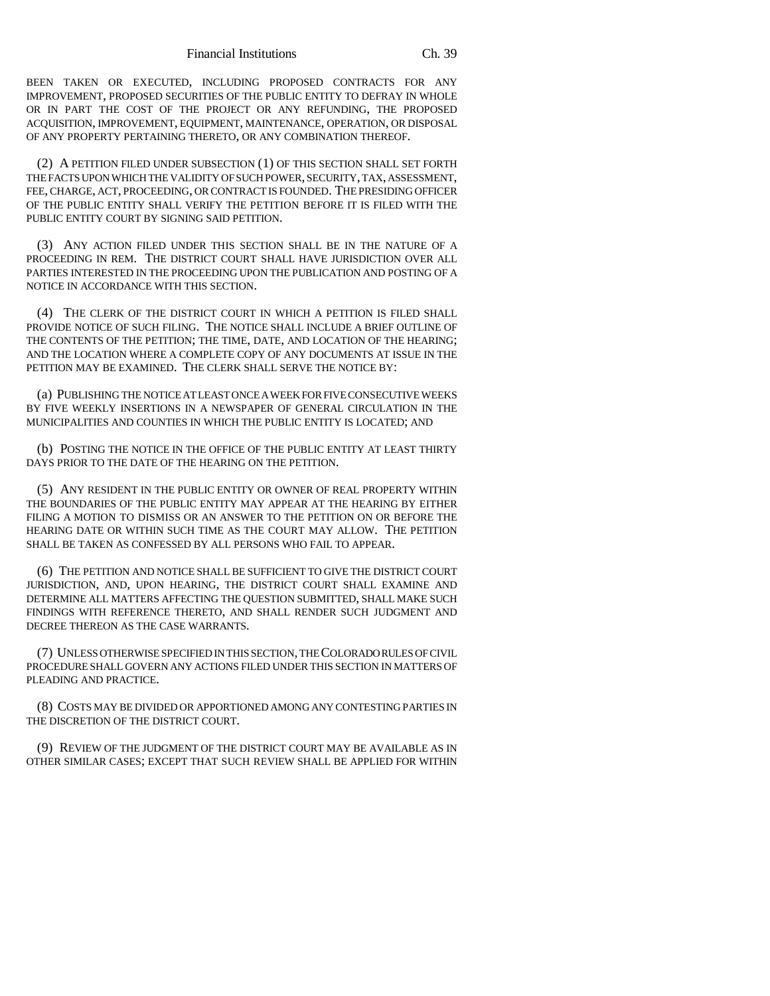BEEN TAKEN OR EXECUTED, INCLUDING PROPOSED CONTRACTS FOR ANY IMPROVEMENT, PROPOSED SECURITIES OF THE PUBLIC ENTITY TO DEFRAY IN WHOLE OR IN PART THE COST OF THE PROJECT OR ANY REFUNDING, THE PROPOSED ACQUISITION, IMPROVEMENT, EQUIPMENT, MAINTENANCE, OPERATION, OR DISPOSAL OF ANY PROPERTY PERTAINING THERETO, OR ANY COMBINATION THEREOF.

(2) A PETITION FILED UNDER SUBSECTION (1) OF THIS SECTION SHALL SET FORTH THE FACTS UPON WHICH THE VALIDITY OF SUCH POWER, SECURITY, TAX, ASSESSMENT, FEE, CHARGE, ACT, PROCEEDING, OR CONTRACT IS FOUNDED. THE PRESIDING OFFICER OF THE PUBLIC ENTITY SHALL VERIFY THE PETITION BEFORE IT IS FILED WITH THE PUBLIC ENTITY COURT BY SIGNING SAID PETITION.

(3) ANY ACTION FILED UNDER THIS SECTION SHALL BE IN THE NATURE OF A PROCEEDING IN REM. THE DISTRICT COURT SHALL HAVE JURISDICTION OVER ALL PARTIES INTERESTED IN THE PROCEEDING UPON THE PUBLICATION AND POSTING OF A NOTICE IN ACCORDANCE WITH THIS SECTION.

(4) THE CLERK OF THE DISTRICT COURT IN WHICH A PETITION IS FILED SHALL PROVIDE NOTICE OF SUCH FILING. THE NOTICE SHALL INCLUDE A BRIEF OUTLINE OF THE CONTENTS OF THE PETITION; THE TIME, DATE, AND LOCATION OF THE HEARING; AND THE LOCATION WHERE A COMPLETE COPY OF ANY DOCUMENTS AT ISSUE IN THE PETITION MAY BE EXAMINED. THE CLERK SHALL SERVE THE NOTICE BY:

(a) PUBLISHING THE NOTICE AT LEAST ONCE A WEEK FOR FIVE CONSECUTIVE WEEKS BY FIVE WEEKLY INSERTIONS IN A NEWSPAPER OF GENERAL CIRCULATION IN THE MUNICIPALITIES AND COUNTIES IN WHICH THE PUBLIC ENTITY IS LOCATED; AND

(b) POSTING THE NOTICE IN THE OFFICE OF THE PUBLIC ENTITY AT LEAST THIRTY DAYS PRIOR TO THE DATE OF THE HEARING ON THE PETITION.

(5) ANY RESIDENT IN THE PUBLIC ENTITY OR OWNER OF REAL PROPERTY WITHIN THE BOUNDARIES OF THE PUBLIC ENTITY MAY APPEAR AT THE HEARING BY EITHER FILING A MOTION TO DISMISS OR AN ANSWER TO THE PETITION ON OR BEFORE THE HEARING DATE OR WITHIN SUCH TIME AS THE COURT MAY ALLOW. THE PETITION SHALL BE TAKEN AS CONFESSED BY ALL PERSONS WHO FAIL TO APPEAR.

(6) THE PETITION AND NOTICE SHALL BE SUFFICIENT TO GIVE THE DISTRICT COURT JURISDICTION, AND, UPON HEARING, THE DISTRICT COURT SHALL EXAMINE AND DETERMINE ALL MATTERS AFFECTING THE QUESTION SUBMITTED, SHALL MAKE SUCH FINDINGS WITH REFERENCE THERETO, AND SHALL RENDER SUCH JUDGMENT AND DECREE THEREON AS THE CASE WARRANTS.

(7) UNLESS OTHERWISE SPECIFIED IN THIS SECTION, THE COLORADO RULES OF CIVIL PROCEDURE SHALL GOVERN ANY ACTIONS FILED UNDER THIS SECTION IN MATTERS OF PLEADING AND PRACTICE.

(8) COSTS MAY BE DIVIDED OR APPORTIONED AMONG ANY CONTESTING PARTIES IN THE DISCRETION OF THE DISTRICT COURT.

(9) REVIEW OF THE JUDGMENT OF THE DISTRICT COURT MAY BE AVAILABLE AS IN OTHER SIMILAR CASES; EXCEPT THAT SUCH REVIEW SHALL BE APPLIED FOR WITHIN